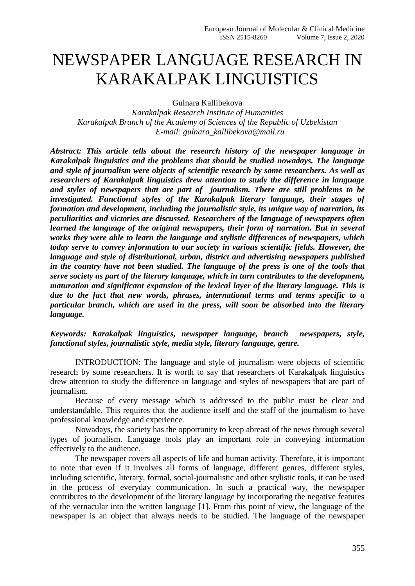## NEWSPAPER LANGUAGE RESEARCH IN KARAKALPAK LINGUISTICS

Gulnara Kallibekova

*Karakalpak Research Institute of Humanities Karakalpak Branch of the Academy of Sciences of the Republic of Uzbekistan E-mail: gulnara\_kallibekova@mail.ru*

*Abstract: This article tells about the research history of the newspaper language in Karakalpak linguistics and the problems that should be studied nowadays. The language and style of journalism were objects of scientific research by some researchers. As well as researchers of Karakalpak linguistics drew attention to study the difference in language and styles of newspapers that are part of journalism. There are still problems to be investigated. Functional styles of the Karakalpak literary language, their stages of formation and development, including the journalistic style, its unique way of narration, its peculiarities and victories are discussed. Researchers of the language of newspapers often learned the language of the original newspapers, their form of narration. But in several works they were able to learn the language and stylistic differences of newspapers, which today serve to convey information to our society in various scientific fields. However, the language and style of distributional, urban, district and advertising newspapers published in the country have not been studied. The language of the press is one of the tools that serve society as part of the literary language, which in turn contributes to the development, maturation and significant expansion of the lexical layer of the literary language. This is due to the fact that new words, phrases, international terms and terms specific to a particular branch, which are used in the press, will soon be absorbed into the literary language.*

*Keywords: Karakalpak linguistics, newspaper language, branch newspapers, style, functional styles, journalistic style, media style, literary language, genre.*

INTRODUCTION: The language and style of journalism were objects of scientific research by some researchers. It is worth to say that researchers of Karakalpak linguistics drew attention to study the difference in language and styles of newspapers that are part of journalism.

Because of every message which is addressed to the public must be clear and understandable. This requires that the audience itself and the staff of the journalism to have professional knowledge and experience.

Nowadays, the society has the opportunity to keep abreast of the news through several types of journalism. Language tools play an important role in conveying information effectively to the audience.

The newspaper covers all aspects of life and human activity. Therefore, it is important to note that even if it involves all forms of language, different genres, different styles, including scientific, literary, formal, social-journalistic and other stylistic tools, it can be used in the process of everyday communication. In such a practical way, the newspaper contributes to the development of the literary language by incorporating the negative features of the vernacular into the written language [1]. From this point of view, the language of the newspaper is an object that always needs to be studied. The language of the newspaper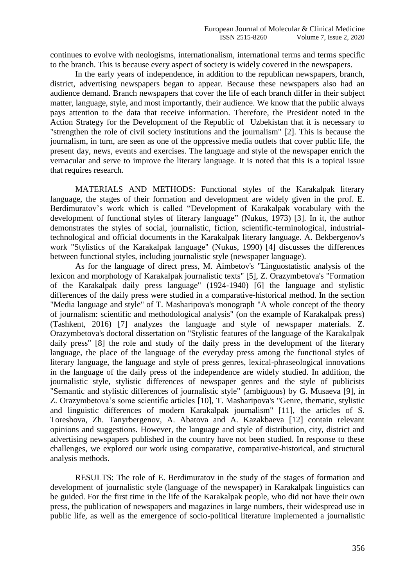continues to evolve with neologisms, internationalism, international terms and terms specific to the branch. This is because every aspect of society is widely covered in the newspapers.

In the early years of independence, in addition to the republican newspapers, branch, district, advertising newspapers began to appear. Because these newspapers also had an audience demand. Branch newspapers that cover the life of each branch differ in their subject matter, language, style, and most importantly, their audience. We know that the public always pays attention to the data that receive information. Therefore, the President noted in the Action Strategy for the Development of the Republic of Uzbekistan that it is necessary to "strengthen the role of civil society institutions and the journalism" [2]. This is because the journalism, in turn, are seen as one of the oppressive media outlets that cover public life, the present day, news, events and exercises. The language and style of the newspaper enrich the vernacular and serve to improve the literary language. It is noted that this is a topical issue that requires research.

MATERIALS AND METHODS: Functional styles of the Karakalpak literary language, the stages of their formation and development are widely given in the prof. E. Berdimuratov's work which is called "Development of Karakalpak vocabulary with the development of functional styles of literary language" (Nukus, 1973) [3]. In it, the author demonstrates the styles of social, journalistic, fiction, scientific-terminological, industrialtechnological and official documents in the Karakalpak literary language. A. Bekbergenov's work "Stylistics of the Karakalpak language" (Nukus, 1990) [4] discusses the differences between functional styles, including journalistic style (newspaper language).

As for the language of direct press, M. Aimbetov's "Linguostatistic analysis of the lexicon and morphology of Karakalpak journalistic texts" [5], Z. Orazymbetova's "Formation of the Karakalpak daily press language" (1924-1940) [6] the language and stylistic differences of the daily press were studied in a comparative-historical method. In the section "Media language and style" of T. Masharipova's monograph "A whole concept of the theory of journalism: scientific and methodological analysis" (on the example of Karakalpak press) (Tashkent, 2016) [7] analyzes the language and style of newspaper materials. Z. Orazymbetova's doctoral dissertation on "Stylistic features of the language of the Karakalpak daily press" [8] the role and study of the daily press in the development of the literary language, the place of the language of the everyday press among the functional styles of literary language, the language and style of press genres, lexical-phraseological innovations in the language of the daily press of the independence are widely studied. In addition, the journalistic style, stylistic differences of newspaper genres and the style of publicists "Semantic and stylistic differences of journalistic style" (ambiguous) by G. Musaeva [9], in Z. Orazymbetova's some scientific articles [10], T. Masharipova's "Genre, thematic, stylistic and linguistic differences of modern Karakalpak journalism" [11], the articles of S. Toreshova, Zh. Tanyrbergenov, A. Abatova and A. Kazakbaeva [12] contain relevant opinions and suggestions. However, the language and style of distribution, city, district and advertising newspapers published in the country have not been studied. In response to these challenges, we explored our work using comparative, comparative-historical, and structural analysis methods.

RESULTS: The role of E. Berdimuratov in the study of the stages of formation and development of journalistic style (language of the newspaper) in Karakalpak linguistics can be guided. For the first time in the life of the Karakalpak people, who did not have their own press, the publication of newspapers and magazines in large numbers, their widespread use in public life, as well as the emergence of socio-political literature implemented a journalistic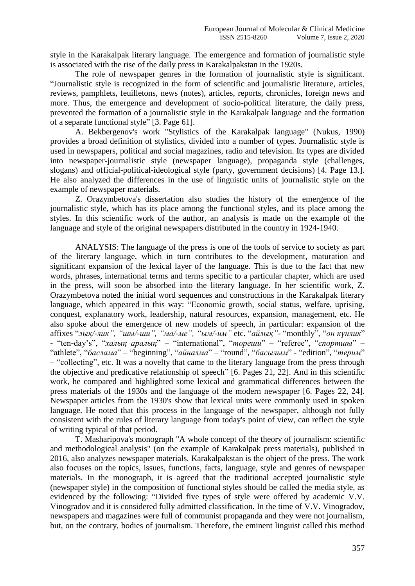style in the Karakalpak literary language. The emergence and formation of journalistic style is associated with the rise of the daily press in Karakalpakstan in the 1920s.

The role of newspaper genres in the formation of journalistic style is significant. "Journalistic style is recognized in the form of scientific and journalistic literature, articles, reviews, pamphlets, feuilletons, news (notes), articles, reports, chronicles, foreign news and more. Thus, the emergence and development of socio-political literature, the daily press, prevented the formation of a journalistic style in the Karakalpak language and the formation of a separate functional style" [3. Page 61].

A. Bekbergenov's work "Stylistics of the Karakalpak language" (Nukus, 1990) provides a broad definition of stylistics, divided into a number of types. Journalistic style is used in newspapers, political and social magazines, radio and television. Its types are divided into newspaper-journalistic style (newspaper language), propaganda style (challenges, slogans) and official-political-ideological style (party, government decisions) [4. Page 13.]. He also analyzed the differences in the use of linguistic units of journalistic style on the example of newspaper materials.

Z. Orazymbetova's dissertation also studies the history of the emergence of the journalistic style, which has its place among the functional styles, and its place among the styles. In this scientific work of the author, an analysis is made on the example of the language and style of the original newspapers distributed in the country in 1924-1940.

ANALYSIS: The language of the press is one of the tools of service to society as part of the literary language, which in turn contributes to the development, maturation and significant expansion of the lexical layer of the language. This is due to the fact that new words, phrases, international terms and terms specific to a particular chapter, which are used in the press, will soon be absorbed into the literary language. In her scientific work, Z. Orazymbetova noted the initial word sequences and constructions in the Karakalpak literary language, which appeared in this way: "Economic growth, social status, welfare, uprising, conquest, explanatory work, leadership, natural resources, expansion, management, etc. He also spoke about the emergence of new models of speech, in particular: expansion of the affixes "*лық/-лик", "шы/-ши", "ма/-ме", "ым/-им"* etc. "*айлық"-* "monthly", "*он күнлик*" - "ten-day's", "*халық аралық*" – "international", "*төреши*" – "referee", "*спортшы*" – "athlete", "*баслама*" – "beginning", "*айналма*" – "round", "*басылым*" - "edition", "*терим*" – "collecting", etc. It was a novelty that came to the literary language from the press through the objective and predicative relationship of speech" [6. Pages 21, 22]. And in this scientific work, he compared and highlighted some lexical and grammatical differences between the press materials of the 1930s and the language of the modern newspaper [6. Pages 22, 24]. Newspaper articles from the 1930's show that lexical units were commonly used in spoken language. He noted that this process in the language of the newspaper, although not fully consistent with the rules of literary language from today's point of view, can reflect the style of writing typical of that period.

T. Masharipova's monograph "A whole concept of the theory of journalism: scientific and methodological analysis" (on the example of Karakalpak press materials), published in 2016, also analyzes newspaper materials. Karakalpakstan is the object of the press. The work also focuses on the topics, issues, functions, facts, language, style and genres of newspaper materials. In the monograph, it is agreed that the traditional accepted journalistic style (newspaper style) in the composition of functional styles should be called the media style, as evidenced by the following: "Divided five types of style were offered by academic V.V. Vinogradov and it is considered fully admitted classification. In the time of V.V. Vinogradov, newspapers and magazines were full of communist propaganda and they were not journalism, but, on the contrary, bodies of journalism. Therefore, the eminent linguist called this method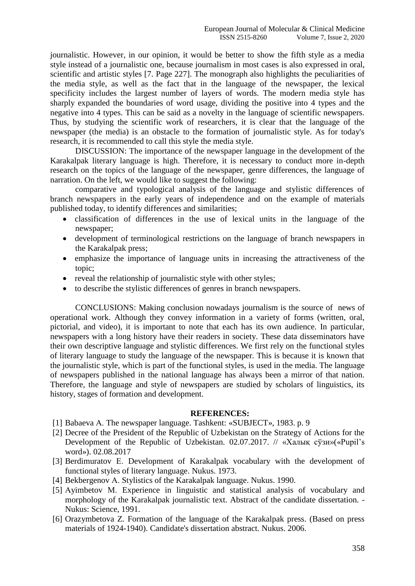journalistic. However, in our opinion, it would be better to show the fifth style as a media style instead of a journalistic one, because journalism in most cases is also expressed in oral, scientific and artistic styles [7. Page 227]. The monograph also highlights the peculiarities of the media style, as well as the fact that in the language of the newspaper, the lexical specificity includes the largest number of layers of words. The modern media style has sharply expanded the boundaries of word usage, dividing the positive into 4 types and the negative into 4 types. This can be said as a novelty in the language of scientific newspapers. Thus, by studying the scientific work of researchers, it is clear that the language of the newspaper (the media) is an obstacle to the formation of journalistic style. As for today's research, it is recommended to call this style the media style.

DISCUSSION: The importance of the newspaper language in the development of the Karakalpak literary language is high. Therefore, it is necessary to conduct more in-depth research on the topics of the language of the newspaper, genre differences, the language of narration. On the left, we would like to suggest the following:

comparative and typological analysis of the language and stylistic differences of branch newspapers in the early years of independence and on the example of materials published today, to identify differences and similarities;

- classification of differences in the use of lexical units in the language of the newspaper;
- development of terminological restrictions on the language of branch newspapers in the Karakalpak press;
- emphasize the importance of language units in increasing the attractiveness of the topic;
- reveal the relationship of journalistic style with other styles;
- to describe the stylistic differences of genres in branch newspapers.

CONCLUSIONS: Making conclusion nowadays journalism is the source of news of operational work. Although they convey information in a variety of forms (written, oral, pictorial, and video), it is important to note that each has its own audience. In particular, newspapers with a long history have their readers in society. These data disseminators have their own descriptive language and stylistic differences. We first rely on the functional styles of literary language to study the language of the newspaper. This is because it is known that the journalistic style, which is part of the functional styles, is used in the media. The language of newspapers published in the national language has always been a mirror of that nation. Therefore, the language and style of newspapers are studied by scholars of linguistics, its history, stages of formation and development.

## **REFERENCES:**

- [1] Babaeva А. The newspaper language. Tashkent: «SUBJECT», 1983. p. 9
- [2] Decree of the President of the Republic of Uzbekistan on the Strategy of Actions for the Development of the Republic of Uzbekistan. 02.07.2017. // «Халық сўзи»(«Pupil's word»). 02.08.2017
- [3] Berdimuratov E. Development of Karakalpak vocabulary with the development of functional styles of literary language. Nukus. 1973.
- [4] Bekbergenov A. Stylistics of the Karakalpak language. Nukus. 1990.
- [5] Аyimbetov М. Experience in linguistic and statistical analysis of vocabulary and morphology of the Karakalpak journalistic text. Abstract of the candidate dissertation. - Nukus: Science, 1991.
- [6] Orazymbetova Z. Formation of the language of the Karakalpak press. (Based on press materials of 1924-1940). Candidate's dissertation abstract. Nukus. 2006.